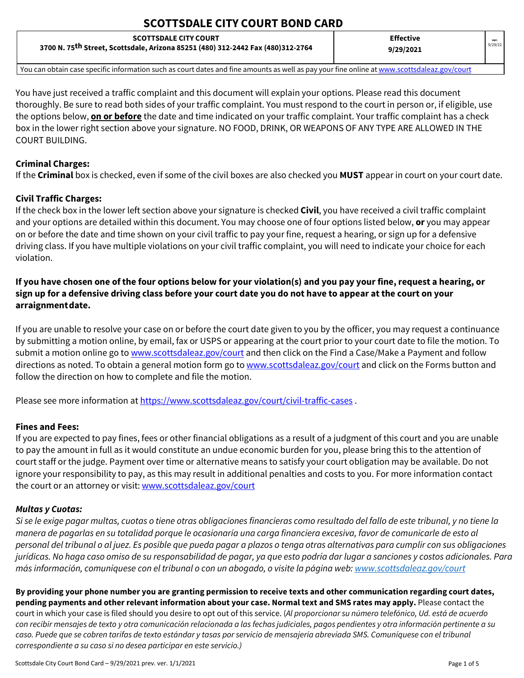# **SCOTTSDALE CITY COURT BOND CARD**

| <b>SCOTTSDALE CITY COURT</b>                                                                                                                | <b>Effective</b> | ver.    |
|---------------------------------------------------------------------------------------------------------------------------------------------|------------------|---------|
| 3700 N. 75 <sup>th</sup> Street, Scottsdale, Arizona 85251 (480) 312-2442 Fax (480)312-2764                                                 | 9/29/2021        | 9/29/21 |
| You can obtain case specific information such as court dates and fine amounts as well as pay your fine online at www.scottsdaleaz.gov/court |                  |         |

You have just received a traffic complaint and this document will explain your options. Please read this document thoroughly. Be sure to read both sides of your traffic complaint. You must respond to the court in person or, if eligible, use the options below, **on or before** the date and time indicated on your traffic complaint. Your traffic complaint has a check box in the lower right section above your signature. NO FOOD, DRINK, OR WEAPONS OF ANY TYPE ARE ALLOWED IN THE COURT BUILDING.

# **Criminal Charges:**

If the **Criminal** box is checked, even if some of the civil boxes are also checked you **MUST** appear in court on your court date.

# **Civil Traffic Charges:**

If the check box in the lower left section above your signature is checked **Civil**, you have received a civil traffic complaint and your options are detailed within this document. You may choose one of four options listed below, **or** you may appear on or before the date and time shown on your civil traffic to pay your fine, request a hearing, or sign up for a defensive driving class. If you have multiple violations on your civil traffic complaint, you will need to indicate your choice for each violation.

# **If you have chosen one of the four options below for your violation(s) and you pay your fine, request a hearing, or sign up for a defensive driving class before your court date you do not have to appear at the court on your arraignmentdate.**

If you are unable to resolve your case on or before the court date given to you by the officer, you may request a continuance by submitting a motion online, by email, fax or USPS or appearing at the court prior to your court date to file the motion. To submit a motion online go to [www.scottsdaleaz.gov/court](http://www.scottsdaleaz.gov/court) and then click on the Find a Case/Make a Payment and follow directions as noted. To obtain a general motion form go to [www.scottsdaleaz.gov/court](http://www.scottsdaleaz.gov/court) and click on the Forms button and follow the direction on how to complete and file the motion.

Please see more information a[t https://www.scottsdaleaz.gov/court/civil-traffic-cases](https://www.scottsdaleaz.gov/court/civil-traffic-cases).

# **Fines and Fees:**

If you are expected to pay fines, fees or other financial obligations as a result of a judgment of this court and you are unable to pay the amount in full as it would constitute an undue economic burden for you, please bring this to the attention of court staff or the judge. Payment over time or alternative means to satisfy your court obligation may be available. Do not ignore your responsibility to pay, as this may result in additional penalties and costs to you. For more information contact the court or an attorney or visit[: www.scottsdaleaz.gov/court](http://www.scottsdaleaz.gov/courts)

# *Multas y Cuotas:*

*Si se le exige pagar multas, cuotas o tiene otras obligaciones financieras como resultado del fallo de este tribunal, y no tiene la manera de pagarlas en su totalidad porque le ocasionaría una carga financiera excesiva, favor de comunicarle de esto al personal del tribunal o al juez. Es posible que pueda pagar a plazos o tenga otras alternativas para cumplir con sus obligaciones jurídicas. No haga caso omiso de su responsabilidad de pagar, ya que esto podría dar lugar a sanciones y costos adicionales. Para más información, comuníquese con el tribunal o con un abogado, o visite la página web: [www.scottsdaleaz.gov/court](http://www.scottsdaleaz.gov/court)*

**By providing your phone number you are granting permission to receive texts and other communication regarding court dates, pending payments and other relevant information about your case. Normal text and SMS rates may apply.** Please contact the court in which your case is filed should you desire to opt out of this service. (*Al proporcionar su número telefónico, Ud. está de acuerdo con recibir mensajes de texto y otra comunicación relacionada a las fechas judiciales, pagos pendientes y otra información pertinente a su caso. Puede que se cobren tarifas de texto estándar y tasas por servicio de mensajería abreviada SMS. Comuníquese con el tribunal correspondiente a su caso si no desea participar en este servicio.)*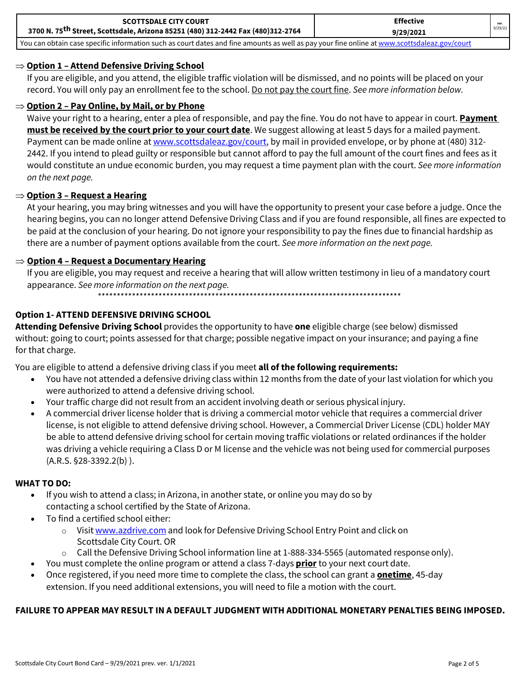| <b>SCOTTSDALE CITY COURT</b>                                                                                                                | <b>Effective</b> |         |
|---------------------------------------------------------------------------------------------------------------------------------------------|------------------|---------|
| 3700 N. 75 <sup>th</sup> Street, Scottsdale, Arizona 85251 (480) 312-2442 Fax (480)312-2764                                                 | 9/29/2021        | 9/29/21 |
| You can obtain case specific information such as court dates and fine amounts as well as pay your fine online at www.scottsdaleaz.gov/court |                  |         |

#### ⇒ **Option 1 – Attend Defensive Driving School**

If you are eligible, and you attend, the eligible traffic violation will be dismissed, and no points will be placed on your record. You will only pay an enrollment fee to the school. Do not pay the court fine. *See more information below.*

#### ⇒ **Option 2 – Pay Online, by Mail, or by Phone**

Waive your right to a hearing, enter a plea of responsible, and pay the fine. You do not have to appear in court. **Payment must be received by the court prior to your court date**. We suggest allowing at least 5 days for a mailed payment. Payment can be made online a[t www.scottsdaleaz.gov/court, b](http://www.scottsdaleaz.gov/court)y mail in provided envelope, or by phone at (480) 312-2442. If you intend to plead guilty or responsible but cannot afford to pay the full amount of the court fines and fees as it would constitute an undue economic burden, you may request a time payment plan with the court. *See more information on the next page.*

### ⇒ **Option 3 – Request a Hearing**

At your hearing, you may bring witnesses and you will have the opportunity to present your case before a judge. Once the hearing begins, you can no longer attend Defensive Driving Class and if you are found responsible, all fines are expected to be paid at the conclusion of your hearing. Do not ignore your responsibility to pay the fines due to financial hardship as there are a number of payment options available from the court. *See more information on the next page.*

#### ⇒ **Option 4 – Request a Documentary Hearing**

If you are eligible, you may request and receive a hearing that will allow written testimony in lieu of a mandatory court appearance. *See more information on the next page.*

*\*\*\*\*\*\*\*\*\*\*\*\*\*\*\*\*\*\*\*\*\*\*\*\*\*\*\*\*\*\*\*\*\*\*\*\*\*\*\*\*\*\*\*\*\*\*\*\*\*\*\*\*\*\*\*\*\*\*\*\*\*\*\*\*\*\*\*\*\*\*\*\*\*\*\*\*\*\*\*\**

### **Option 1- ATTEND DEFENSIVE DRIVING SCHOOL**

**Attending Defensive Driving School** provides the opportunity to have **one** eligible charge (see below) dismissed without: going to court; points assessed for that charge; possible negative impact on your insurance; and paying a fine for that charge.

You are eligible to attend a defensive driving class if you meet **all of the following requirements:**

- You have not attended a defensive driving class within 12 months from the date of your last violation for which you were authorized to attend a defensive driving school.
- Your traffic charge did not result from an accident involving death or serious physical injury.
- A commercial driver license holder that is driving a commercial motor vehicle that requires a commercial driver license, is not eligible to attend defensive driving school. However, a Commercial Driver License (CDL) holder MAY be able to attend defensive driving school for certain moving traffic violations or related ordinances if the holder was driving a vehicle requiring a Class D or M license and the vehicle was not being used for commercial purposes (A.R.S. §28-3392.2(b) ).

#### **WHAT TO DO:**

- If you wish to attend a class; in Arizona, in another state, or online you may do so by contacting a school certified by the State of Arizona.
- To find a certified school either:
	- o Visit [www.azdrive.com](http://www.azdrive.com/) and look for Defensive Driving School Entry Point and click on Scottsdale City Court. OR
	- Call the Defensive Driving School information line at 1-888-334-5565 (automated response only).
- You must complete the online program or attend a class 7-days **prior** to your next court date.
- Once registered, if you need more time to complete the class, the school can grant a **onetime**, 45-day extension. If you need additional extensions, you will need to file a motion with the court.

#### **FAILURE TO APPEAR MAY RESULT IN A DEFAULT JUDGMENT WITH ADDITIONAL MONETARY PENALTIES BEING IMPOSED.**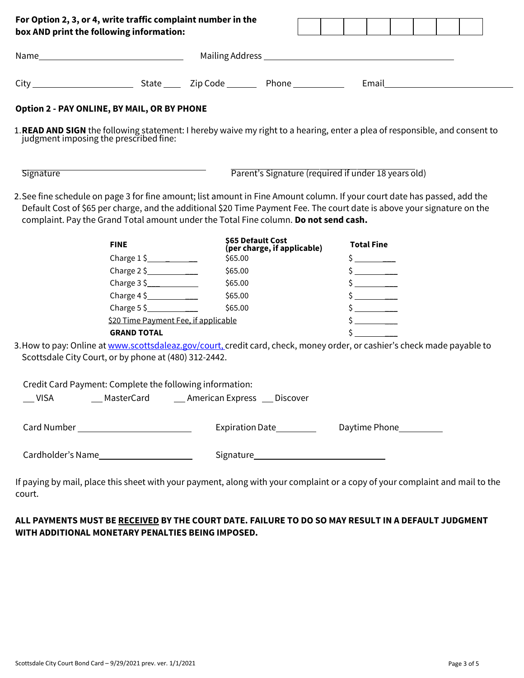| box AND print the following information:                                                                                                                                                                                                              |                                                            | For Option 2, 3, or 4, write traffic complaint number in the |                                                                                                                                                                                                                                |                                                                                                                       |  |  |
|-------------------------------------------------------------------------------------------------------------------------------------------------------------------------------------------------------------------------------------------------------|------------------------------------------------------------|--------------------------------------------------------------|--------------------------------------------------------------------------------------------------------------------------------------------------------------------------------------------------------------------------------|-----------------------------------------------------------------------------------------------------------------------|--|--|
|                                                                                                                                                                                                                                                       |                                                            |                                                              |                                                                                                                                                                                                                                |                                                                                                                       |  |  |
|                                                                                                                                                                                                                                                       |                                                            |                                                              |                                                                                                                                                                                                                                | Email <b>Exercise Service Service</b> Service Service Service Service Service Service Service Service Service Service |  |  |
| <b>Option 2 - PAY ONLINE, BY MAIL, OR BY PHONE</b>                                                                                                                                                                                                    |                                                            |                                                              |                                                                                                                                                                                                                                |                                                                                                                       |  |  |
| 1. READ AND SIGN the following statement: I hereby waive my right to a hearing, enter a plea of responsible, and consent to judgment imposing the prescribed fine:                                                                                    |                                                            |                                                              |                                                                                                                                                                                                                                |                                                                                                                       |  |  |
| Signature                                                                                                                                                                                                                                             |                                                            |                                                              | Parent's Signature (required if under 18 years old)                                                                                                                                                                            |                                                                                                                       |  |  |
| 2. See fine schedule on page 3 for fine amount; list amount in Fine Amount column. If your court date has passed, add the<br>Default Cost of \$65 per charge, and the additional \$20 Time Payment Fee. The court date is above your signature on the |                                                            |                                                              |                                                                                                                                                                                                                                |                                                                                                                       |  |  |
| complaint. Pay the Grand Total amount under the Total Fine column. Do not send cash.                                                                                                                                                                  |                                                            | \$65 Default Cost                                            |                                                                                                                                                                                                                                |                                                                                                                       |  |  |
|                                                                                                                                                                                                                                                       | <b>FINE</b>                                                |                                                              | (per charge, if applicable)                                                                                                                                                                                                    | <b>Total Fine</b>                                                                                                     |  |  |
|                                                                                                                                                                                                                                                       |                                                            | \$65.00                                                      |                                                                                                                                                                                                                                | $\frac{1}{2}$                                                                                                         |  |  |
|                                                                                                                                                                                                                                                       | Charge 2\$                                                 | \$65.00                                                      |                                                                                                                                                                                                                                | $\frac{1}{2}$                                                                                                         |  |  |
|                                                                                                                                                                                                                                                       |                                                            | \$65.00                                                      |                                                                                                                                                                                                                                | $\frac{1}{2}$                                                                                                         |  |  |
|                                                                                                                                                                                                                                                       | Charge $4\frac{1}{2}$                                      | \$65.00                                                      |                                                                                                                                                                                                                                | $\frac{\zeta}{\zeta}$                                                                                                 |  |  |
|                                                                                                                                                                                                                                                       | Charge $5 \simeq$                                          | \$65.00                                                      |                                                                                                                                                                                                                                |                                                                                                                       |  |  |
|                                                                                                                                                                                                                                                       | \$20 Time Payment Fee, if applicable<br><b>GRAND TOTAL</b> |                                                              |                                                                                                                                                                                                                                | $\mathsf{\dot{S}}$                                                                                                    |  |  |
| 3. How to pay: Online at www.scottsdaleaz.gov/court, credit card, check, money order, or cashier's check made payable to<br>Scottsdale City Court, or by phone at (480) 312-2442.                                                                     |                                                            |                                                              |                                                                                                                                                                                                                                |                                                                                                                       |  |  |
| Credit Card Payment: Complete the following information:                                                                                                                                                                                              |                                                            |                                                              |                                                                                                                                                                                                                                |                                                                                                                       |  |  |
| $\sqrt{}$ VISA                                                                                                                                                                                                                                        |                                                            | __ MasterCard ______ American Express ___ Discover           |                                                                                                                                                                                                                                |                                                                                                                       |  |  |
| Card Number _____________________________                                                                                                                                                                                                             |                                                            |                                                              | Expiration Date Fxpiration Date Expiration Date Expiration Date Expiration Date BLC Daytime Phone Expiration Date BLC Daytime Phone BLC Daytime Daytime Daytime Daytime Daytime Daytime Daytime Daytime Daytime Daytime Daytim |                                                                                                                       |  |  |

# **ALL PAYMENTS MUST BE RECEIVED BY THE COURT DATE. FAILURE TO DO SO MAY RESULT IN A DEFAULT JUDGMENT WITH ADDITIONAL MONETARY PENALTIES BEING IMPOSED.**

court.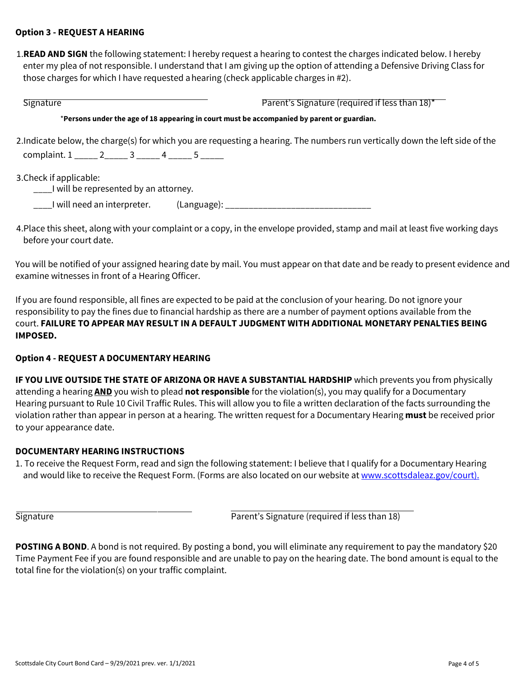### **Option 3 - REQUEST A HEARING**

1.**READ AND SIGN** the following statement: I hereby request a hearing to contest the charges indicated below. I hereby enter my plea of not responsible. I understand that I am giving up the option of attending a Defensive Driving Class for those charges for which I have requested ahearing (check applicable charges in #2).

Signature **Parent's Signature (required if less than 18)<sup>\*</sup>** \***Persons under the age of 18 appearing in court must be accompanied by parent or guardian.** 2.Indicate below, the charge(s) for which you are requesting a hearing. The numbers run vertically down the left side of the complaint. 1 \_\_\_\_\_ 2\_\_\_\_\_ 3 \_\_\_\_\_ 4 \_\_\_\_\_ 5 \_\_\_\_\_ 3.Check if applicable: \_\_\_\_I will be represented by an attorney.

\_\_\_\_I will need an interpreter. (Language): \_\_\_\_\_\_\_\_\_\_\_\_\_\_\_\_\_\_\_\_\_\_\_\_\_\_\_\_\_\_\_

4.Place this sheet, along with your complaint or a copy, in the envelope provided, stamp and mail at least five working days before your court date.

You will be notified of your assigned hearing date by mail. You must appear on that date and be ready to present evidence and examine witnesses in front of a Hearing Officer.

If you are found responsible, all fines are expected to be paid at the conclusion of your hearing. Do not ignore your responsibility to pay the fines due to financial hardship as there are a number of payment options available from the court. **FAILURE TO APPEAR MAY RESULT IN A DEFAULT JUDGMENT WITH ADDITIONAL MONETARY PENALTIES BEING IMPOSED.**

### **Option 4 - REQUEST A DOCUMENTARY HEARING**

**IF YOU LIVE OUTSIDE THE STATE OF ARIZONA OR HAVE A SUBSTANTIAL HARDSHIP** which prevents you from physically attending a hearing **AND** you wish to plead **not responsible** for the violation(s), you may qualify for a Documentary Hearing pursuant to Rule 10 Civil Traffic Rules. This will allow you to file a written declaration of the facts surrounding the violation rather than appear in person at a hearing. The written request for a Documentary Hearing **must** be received prior to your appearance date.

### **DOCUMENTARY HEARING INSTRUCTIONS**

1. To receive the Request Form, read and sign the following statement: I believe that I qualify for a Documentary Hearing and would like to receive the Request Form. (Forms are also located on our website a[t www.scottsdaleaz.gov/court\).](http://www.scottsdaleaz.gov/court).)

Signature Parent's Signature (required if less than 18)

**POSTING A BOND**. A bond is not required. By posting a bond, you will eliminate any requirement to pay the mandatory \$20 Time Payment Fee if you are found responsible and are unable to pay on the hearing date. The bond amount is equal to the total fine for the violation(s) on your traffic complaint.